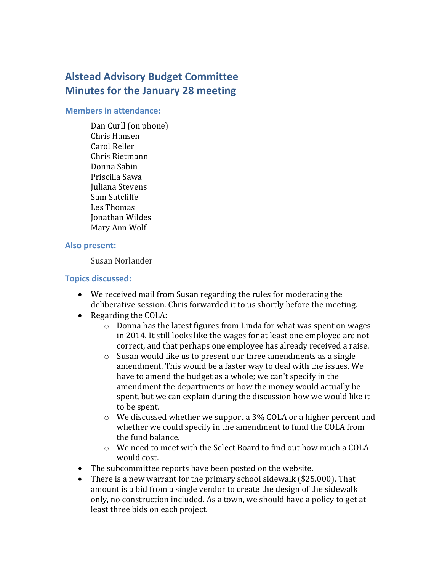# **Alstead Advisory Budget Committee Minutes for the January 28 meeting**

#### **Members in attendance:**

Dan Curll (on phone) Chris Hansen Carol Reller Chris Rietmann Donna Sabin Priscilla Sawa Juliana Stevens Sam Sutcliffe Les Thomas Jonathan Wildes Mary Ann Wolf

#### **Also present:**

Susan Norlander

# **Topics discussed:**

- We received mail from Susan regarding the rules for moderating the deliberative session. Chris forwarded it to us shortly before the meeting.
- Regarding the COLA:
	- o Donna has the latest figures from Linda for what was spent on wages in 2014. It still looks like the wages for at least one employee are not correct, and that perhaps one employee has already received a raise.
	- $\circ$  Susan would like us to present our three amendments as a single amendment. This would be a faster way to deal with the issues. We have to amend the budget as a whole; we can't specify in the amendment the departments or how the money would actually be spent, but we can explain during the discussion how we would like it to be spent.
	- o We discussed whether we support a 3% COLA or a higher percent and whether we could specify in the amendment to fund the COLA from the fund balance.
	- o We need to meet with the Select Board to find out how much a COLA would cost.
- The subcommittee reports have been posted on the website.
- There is a new warrant for the primary school sidewalk (\$25,000). That amount is a bid from a single vendor to create the design of the sidewalk only, no construction included. As a town, we should have a policy to get at least three bids on each project.